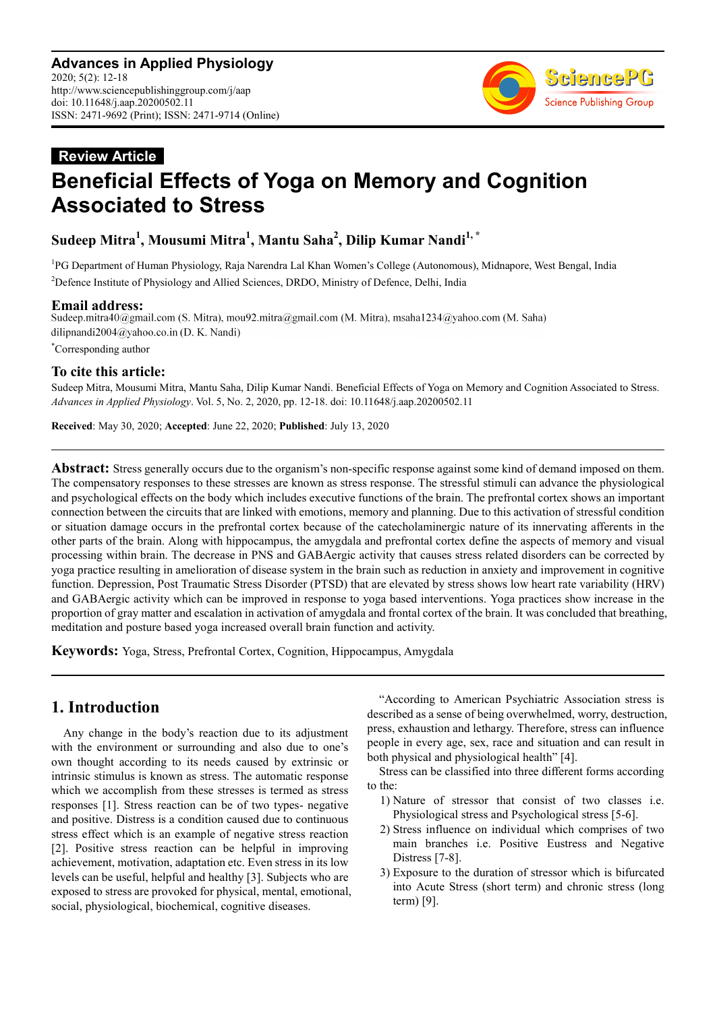

# **Review Article Beneficial Effects of Yoga on Memory and Cognition Associated to Stress**

## **Sudeep Mitra<sup>1</sup> , Mousumi Mitra<sup>1</sup> , Mantu Saha<sup>2</sup> , Dilip Kumar Nandi1, \***

<sup>1</sup>PG Department of Human Physiology, Raja Narendra Lal Khan Women's College (Autonomous), Midnapore, West Bengal, India <sup>2</sup>Defence Institute of Physiology and Allied Sciences, DRDO, Ministry of Defence, Delhi, India

**Email address:**<br>Sudeep.mitra40@gmail.com (S. Mitra), mou92.mitra@gmail.com (M. Mitra), msaha1234@yahoo.com (M. Saha) dilipnandi2004@yahoo.co.in (D. K. Nandi)

\*Corresponding author

## **To cite this article:**

Sudeep Mitra, Mousumi Mitra, Mantu Saha, Dilip Kumar Nandi. Beneficial Effects of Yoga on Memory and Cognition Associated to Stress. *Advances in Applied Physiology*. Vol. 5, No. 2, 2020, pp. 12-18. doi: 10.11648/j.aap.20200502.11

**Received**: May 30, 2020; **Accepted**: June 22, 2020; **Published**: July 13, 2020

**Abstract:** Stress generally occurs due to the organism's non-specific response against some kind of demand imposed on them. The compensatory responses to these stresses are known as stress response. The stressful stimuli can advance the physiological and psychological effects on the body which includes executive functions of the brain. The prefrontal cortex shows an important connection between the circuits that are linked with emotions, memory and planning. Due to this activation of stressful condition or situation damage occurs in the prefrontal cortex because of the catecholaminergic nature of its innervating afferents in the other parts of the brain. Along with hippocampus, the amygdala and prefrontal cortex define the aspects of memory and visual processing within brain. The decrease in PNS and GABAergic activity that causes stress related disorders can be corrected by yoga practice resulting in amelioration of disease system in the brain such as reduction in anxiety and improvement in cognitive function. Depression, Post Traumatic Stress Disorder (PTSD) that are elevated by stress shows low heart rate variability (HRV) and GABAergic activity which can be improved in response to yoga based interventions. Yoga practices show increase in the proportion of gray matter and escalation in activation of amygdala and frontal cortex of the brain. It was concluded that breathing, meditation and posture based yoga increased overall brain function and activity.

**Keywords:** Yoga, Stress, Prefrontal Cortex, Cognition, Hippocampus, Amygdala

## **1. Introduction**

Any change in the body's reaction due to its adjustment with the environment or surrounding and also due to one's own thought according to its needs caused by extrinsic or intrinsic stimulus is known as stress. The automatic response which we accomplish from these stresses is termed as stress responses [1]. Stress reaction can be of two types- negative and positive. Distress is a condition caused due to continuous stress effect which is an example of negative stress reaction [2]. Positive stress reaction can be helpful in improving achievement, motivation, adaptation etc. Even stress in its low levels can be useful, helpful and healthy [3]. Subjects who are exposed to stress are provoked for physical, mental, emotional, social, physiological, biochemical, cognitive diseases.

"According to American Psychiatric Association stress is described as a sense of being overwhelmed, worry, destruction, press, exhaustion and lethargy. Therefore, stress can influence people in every age, sex, race and situation and can result in both physical and physiological health" [4].

Stress can be classified into three different forms according to the:

- 1) Nature of stressor that consist of two classes i.e. Physiological stress and Psychological stress [5-6].
- 2) Stress influence on individual which comprises of two main branches i.e. Positive Eustress and Negative Distress [7-8].
- 3) Exposure to the duration of stressor which is bifurcated into Acute Stress (short term) and chronic stress (long term) [9].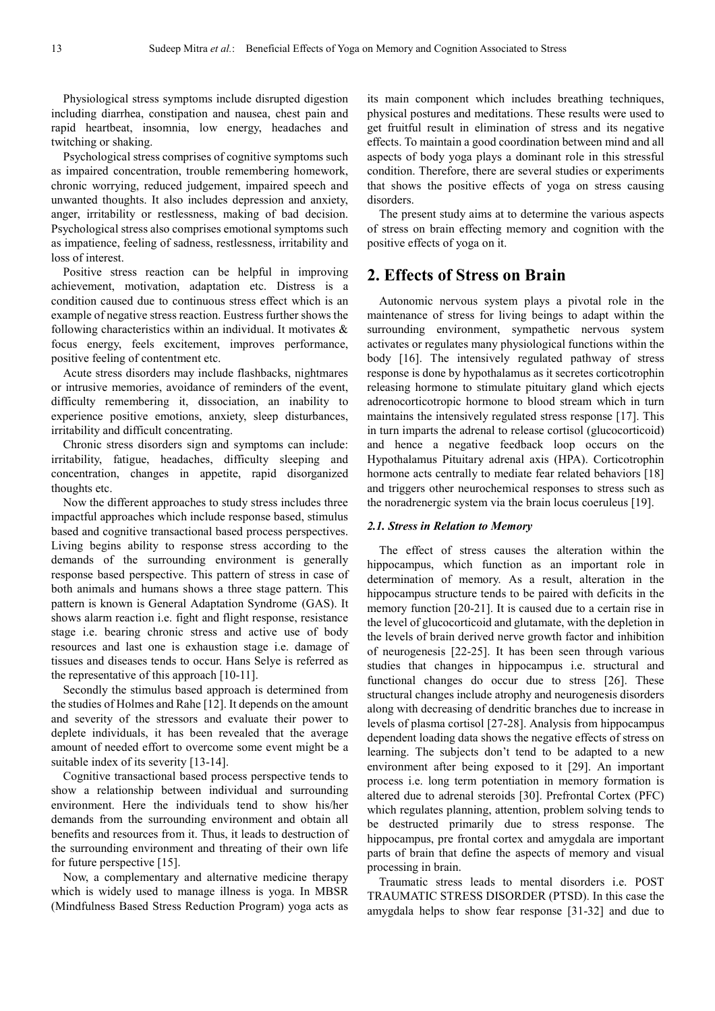Physiological stress symptoms include disrupted digestion including diarrhea, constipation and nausea, chest pain and rapid heartbeat, insomnia, low energy, headaches and twitching or shaking.

Psychological stress comprises of cognitive symptoms such as impaired concentration, trouble remembering homework, chronic worrying, reduced judgement, impaired speech and unwanted thoughts. It also includes depression and anxiety, anger, irritability or restlessness, making of bad decision. Psychological stress also comprises emotional symptoms such as impatience, feeling of sadness, restlessness, irritability and loss of interest.

Positive stress reaction can be helpful in improving achievement, motivation, adaptation etc. Distress is a condition caused due to continuous stress effect which is an example of negative stress reaction. Eustress further shows the following characteristics within an individual. It motivates  $\&$ focus energy, feels excitement, improves performance, positive feeling of contentment etc.

Acute stress disorders may include flashbacks, nightmares or intrusive memories, avoidance of reminders of the event, difficulty remembering it, dissociation, an inability to experience positive emotions, anxiety, sleep disturbances, irritability and difficult concentrating.

Chronic stress disorders sign and symptoms can include: irritability, fatigue, headaches, difficulty sleeping and concentration, changes in appetite, rapid disorganized thoughts etc.

Now the different approaches to study stress includes three impactful approaches which include response based, stimulus based and cognitive transactional based process perspectives. Living begins ability to response stress according to the demands of the surrounding environment is generally response based perspective. This pattern of stress in case of both animals and humans shows a three stage pattern. This pattern is known is General Adaptation Syndrome (GAS). It shows alarm reaction i.e. fight and flight response, resistance stage i.e. bearing chronic stress and active use of body resources and last one is exhaustion stage i.e. damage of tissues and diseases tends to occur. Hans Selye is referred as the representative of this approach [10-11].

Secondly the stimulus based approach is determined from the studies of Holmes and Rahe [12]. It depends on the amount and severity of the stressors and evaluate their power to deplete individuals, it has been revealed that the average amount of needed effort to overcome some event might be a suitable index of its severity [13-14].

Cognitive transactional based process perspective tends to show a relationship between individual and surrounding environment. Here the individuals tend to show his/her demands from the surrounding environment and obtain all benefits and resources from it. Thus, it leads to destruction of the surrounding environment and threating of their own life for future perspective [15].

Now, a complementary and alternative medicine therapy which is widely used to manage illness is yoga. In MBSR (Mindfulness Based Stress Reduction Program) yoga acts as its main component which includes breathing techniques, physical postures and meditations. These results were used to get fruitful result in elimination of stress and its negative effects. To maintain a good coordination between mind and all aspects of body yoga plays a dominant role in this stressful condition. Therefore, there are several studies or experiments that shows the positive effects of yoga on stress causing disorders.

The present study aims at to determine the various aspects of stress on brain effecting memory and cognition with the positive effects of yoga on it.

## **2. Effects of Stress on Brain**

Autonomic nervous system plays a pivotal role in the maintenance of stress for living beings to adapt within the surrounding environment, sympathetic nervous system activates or regulates many physiological functions within the body [16]. The intensively regulated pathway of stress response is done by hypothalamus as it secretes corticotrophin releasing hormone to stimulate pituitary gland which ejects adrenocorticotropic hormone to blood stream which in turn maintains the intensively regulated stress response [17]. This in turn imparts the adrenal to release cortisol (glucocorticoid) and hence a negative feedback loop occurs on the Hypothalamus Pituitary adrenal axis (HPA). Corticotrophin hormone acts centrally to mediate fear related behaviors [18] and triggers other neurochemical responses to stress such as the noradrenergic system via the brain locus coeruleus [19].

#### *2.1. Stress in Relation to Memory*

The effect of stress causes the alteration within the hippocampus, which function as an important role in determination of memory. As a result, alteration in the hippocampus structure tends to be paired with deficits in the memory function [20-21]. It is caused due to a certain rise in the level of glucocorticoid and glutamate, with the depletion in the levels of brain derived nerve growth factor and inhibition of neurogenesis [22-25]. It has been seen through various studies that changes in hippocampus i.e. structural and functional changes do occur due to stress [26]. These structural changes include atrophy and neurogenesis disorders along with decreasing of dendritic branches due to increase in levels of plasma cortisol [27-28]. Analysis from hippocampus dependent loading data shows the negative effects of stress on learning. The subjects don't tend to be adapted to a new environment after being exposed to it [29]. An important process i.e. long term potentiation in memory formation is altered due to adrenal steroids [30]. Prefrontal Cortex (PFC) which regulates planning, attention, problem solving tends to be destructed primarily due to stress response. The hippocampus, pre frontal cortex and amygdala are important parts of brain that define the aspects of memory and visual processing in brain.

Traumatic stress leads to mental disorders i.e. POST TRAUMATIC STRESS DISORDER (PTSD). In this case the amygdala helps to show fear response [31-32] and due to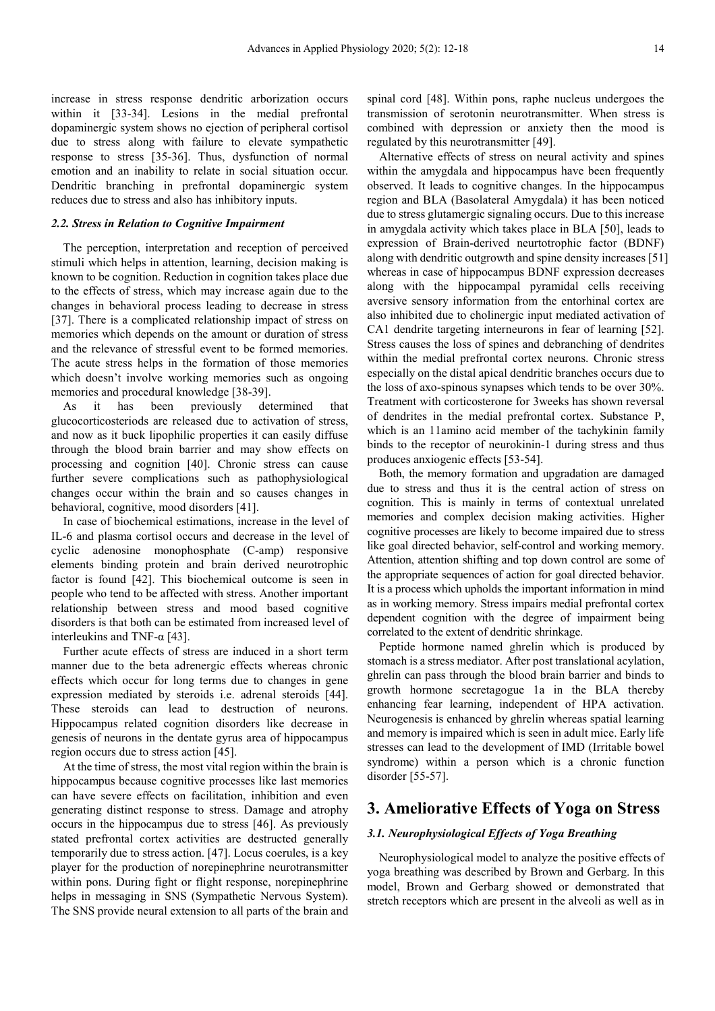increase in stress response dendritic arborization occurs within it [33-34]. Lesions in the medial prefrontal dopaminergic system shows no ejection of peripheral cortisol due to stress along with failure to elevate sympathetic response to stress [35-36]. Thus, dysfunction of normal emotion and an inability to relate in social situation occur. Dendritic branching in prefrontal dopaminergic system reduces due to stress and also has inhibitory inputs.

#### *2.2. Stress in Relation to Cognitive Impairment*

The perception, interpretation and reception of perceived stimuli which helps in attention, learning, decision making is known to be cognition. Reduction in cognition takes place due to the effects of stress, which may increase again due to the changes in behavioral process leading to decrease in stress [37]. There is a complicated relationship impact of stress on memories which depends on the amount or duration of stress and the relevance of stressful event to be formed memories. The acute stress helps in the formation of those memories which doesn't involve working memories such as ongoing memories and procedural knowledge [38-39].

As it has been previously determined that glucocorticosteriods are released due to activation of stress, and now as it buck lipophilic properties it can easily diffuse through the blood brain barrier and may show effects on processing and cognition [40]. Chronic stress can cause further severe complications such as pathophysiological changes occur within the brain and so causes changes in behavioral, cognitive, mood disorders [41].

In case of biochemical estimations, increase in the level of IL-6 and plasma cortisol occurs and decrease in the level of cyclic adenosine monophosphate (C-amp) responsive elements binding protein and brain derived neurotrophic factor is found [42]. This biochemical outcome is seen in people who tend to be affected with stress. Another important relationship between stress and mood based cognitive disorders is that both can be estimated from increased level of interleukins and TNF- $α$  [43].

Further acute effects of stress are induced in a short term manner due to the beta adrenergic effects whereas chronic effects which occur for long terms due to changes in gene expression mediated by steroids i.e. adrenal steroids [44]. These steroids can lead to destruction of neurons. Hippocampus related cognition disorders like decrease in genesis of neurons in the dentate gyrus area of hippocampus region occurs due to stress action [45].

At the time of stress, the most vital region within the brain is hippocampus because cognitive processes like last memories can have severe effects on facilitation, inhibition and even generating distinct response to stress. Damage and atrophy occurs in the hippocampus due to stress [46]. As previously stated prefrontal cortex activities are destructed generally temporarily due to stress action. [47]. Locus coerules, is a key player for the production of norepinephrine neurotransmitter within pons. During fight or flight response, norepinephrine helps in messaging in SNS (Sympathetic Nervous System). The SNS provide neural extension to all parts of the brain and

spinal cord [48]. Within pons, raphe nucleus undergoes the transmission of serotonin neurotransmitter. When stress is combined with depression or anxiety then the mood is regulated by this neurotransmitter [49].

Alternative effects of stress on neural activity and spines within the amygdala and hippocampus have been frequently observed. It leads to cognitive changes. In the hippocampus region and BLA (Basolateral Amygdala) it has been noticed due to stress glutamergic signaling occurs. Due to this increase in amygdala activity which takes place in BLA [50], leads to expression of Brain-derived neurtotrophic factor (BDNF) along with dendritic outgrowth and spine density increases [51] whereas in case of hippocampus BDNF expression decreases along with the hippocampal pyramidal cells receiving aversive sensory information from the entorhinal cortex are also inhibited due to cholinergic input mediated activation of CA1 dendrite targeting interneurons in fear of learning [52]. Stress causes the loss of spines and debranching of dendrites within the medial prefrontal cortex neurons. Chronic stress especially on the distal apical dendritic branches occurs due to the loss of axo-spinous synapses which tends to be over 30%. Treatment with corticosterone for 3weeks has shown reversal of dendrites in the medial prefrontal cortex. Substance P, which is an 11amino acid member of the tachykinin family binds to the receptor of neurokinin-1 during stress and thus produces anxiogenic effects [53-54].

Both, the memory formation and upgradation are damaged due to stress and thus it is the central action of stress on cognition. This is mainly in terms of contextual unrelated memories and complex decision making activities. Higher cognitive processes are likely to become impaired due to stress like goal directed behavior, self-control and working memory. Attention, attention shifting and top down control are some of the appropriate sequences of action for goal directed behavior. It is a process which upholds the important information in mind as in working memory. Stress impairs medial prefrontal cortex dependent cognition with the degree of impairment being correlated to the extent of dendritic shrinkage.

Peptide hormone named ghrelin which is produced by stomach is a stress mediator. After post translational acylation, ghrelin can pass through the blood brain barrier and binds to growth hormone secretagogue 1a in the BLA thereby enhancing fear learning, independent of HPA activation. Neurogenesis is enhanced by ghrelin whereas spatial learning and memory is impaired which is seen in adult mice. Early life stresses can lead to the development of IMD (Irritable bowel syndrome) within a person which is a chronic function disorder [55-57].

## **3. Ameliorative Effects of Yoga on Stress**

#### *3.1. Neurophysiological Effects of Yoga Breathing*

Neurophysiological model to analyze the positive effects of yoga breathing was described by Brown and Gerbarg. In this model, Brown and Gerbarg showed or demonstrated that stretch receptors which are present in the alveoli as well as in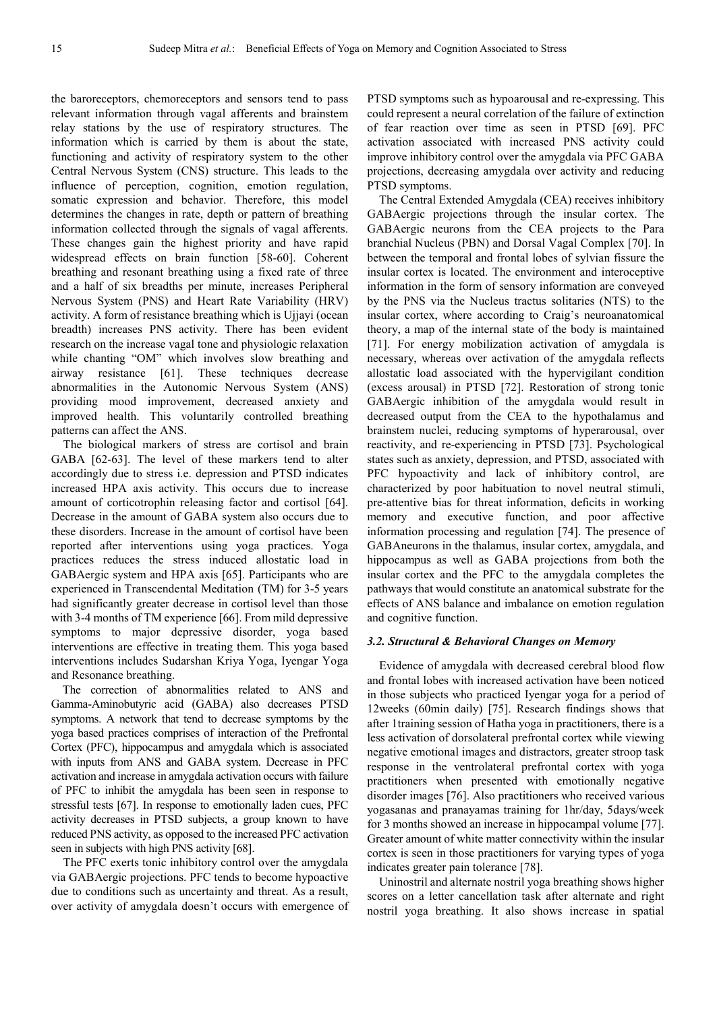the baroreceptors, chemoreceptors and sensors tend to pass relevant information through vagal afferents and brainstem relay stations by the use of respiratory structures. The information which is carried by them is about the state, functioning and activity of respiratory system to the other Central Nervous System (CNS) structure. This leads to the influence of perception, cognition, emotion regulation, somatic expression and behavior. Therefore, this model determines the changes in rate, depth or pattern of breathing information collected through the signals of vagal afferents. These changes gain the highest priority and have rapid widespread effects on brain function [58-60]. Coherent breathing and resonant breathing using a fixed rate of three and a half of six breadths per minute, increases Peripheral Nervous System (PNS) and Heart Rate Variability (HRV) activity. A form of resistance breathing which is Ujjayi (ocean breadth) increases PNS activity. There has been evident research on the increase vagal tone and physiologic relaxation while chanting "OM" which involves slow breathing and airway resistance [61]. These techniques decrease abnormalities in the Autonomic Nervous System (ANS) providing mood improvement, decreased anxiety and improved health. This voluntarily controlled breathing patterns can affect the ANS.

The biological markers of stress are cortisol and brain GABA [62-63]. The level of these markers tend to alter accordingly due to stress i.e. depression and PTSD indicates increased HPA axis activity. This occurs due to increase amount of corticotrophin releasing factor and cortisol [64]. Decrease in the amount of GABA system also occurs due to these disorders. Increase in the amount of cortisol have been reported after interventions using yoga practices. Yoga practices reduces the stress induced allostatic load in GABAergic system and HPA axis [65]. Participants who are experienced in Transcendental Meditation (TM) for 3-5 years had significantly greater decrease in cortisol level than those with 3-4 months of TM experience [66]. From mild depressive symptoms to major depressive disorder, yoga based interventions are effective in treating them. This yoga based interventions includes Sudarshan Kriya Yoga, Iyengar Yoga and Resonance breathing.

The correction of abnormalities related to ANS and Gamma-Aminobutyric acid (GABA) also decreases PTSD symptoms. A network that tend to decrease symptoms by the yoga based practices comprises of interaction of the Prefrontal Cortex (PFC), hippocampus and amygdala which is associated with inputs from ANS and GABA system. Decrease in PFC activation and increase in amygdala activation occurs with failure of PFC to inhibit the amygdala has been seen in response to stressful tests [67]. In response to emotionally laden cues, PFC activity decreases in PTSD subjects, a group known to have reduced PNS activity, as opposed to the increased PFC activation seen in subjects with high PNS activity [68].

The PFC exerts tonic inhibitory control over the amygdala via GABAergic projections. PFC tends to become hypoactive due to conditions such as uncertainty and threat. As a result, over activity of amygdala doesn't occurs with emergence of PTSD symptoms such as hypoarousal and re-expressing. This could represent a neural correlation of the failure of extinction of fear reaction over time as seen in PTSD [69]. PFC activation associated with increased PNS activity could improve inhibitory control over the amygdala via PFC GABA projections, decreasing amygdala over activity and reducing PTSD symptoms.

The Central Extended Amygdala (CEA) receives inhibitory GABAergic projections through the insular cortex. The GABAergic neurons from the CEA projects to the Para branchial Nucleus (PBN) and Dorsal Vagal Complex [70]. In between the temporal and frontal lobes of sylvian fissure the insular cortex is located. The environment and interoceptive information in the form of sensory information are conveyed by the PNS via the Nucleus tractus solitaries (NTS) to the insular cortex, where according to Craig's neuroanatomical theory, a map of the internal state of the body is maintained [71]. For energy mobilization activation of amygdala is necessary, whereas over activation of the amygdala reflects allostatic load associated with the hypervigilant condition (excess arousal) in PTSD [72]. Restoration of strong tonic GABAergic inhibition of the amygdala would result in decreased output from the CEA to the hypothalamus and brainstem nuclei, reducing symptoms of hyperarousal, over reactivity, and re-experiencing in PTSD [73]. Psychological states such as anxiety, depression, and PTSD, associated with PFC hypoactivity and lack of inhibitory control, are characterized by poor habituation to novel neutral stimuli, pre-attentive bias for threat information, deficits in working memory and executive function, and poor affective information processing and regulation [74]. The presence of GABAneurons in the thalamus, insular cortex, amygdala, and hippocampus as well as GABA projections from both the insular cortex and the PFC to the amygdala completes the pathways that would constitute an anatomical substrate for the effects of ANS balance and imbalance on emotion regulation and cognitive function.

#### *3.2. Structural & Behavioral Changes on Memory*

Evidence of amygdala with decreased cerebral blood flow and frontal lobes with increased activation have been noticed in those subjects who practiced Iyengar yoga for a period of 12weeks (60min daily) [75]. Research findings shows that after 1training session of Hatha yoga in practitioners, there is a less activation of dorsolateral prefrontal cortex while viewing negative emotional images and distractors, greater stroop task response in the ventrolateral prefrontal cortex with yoga practitioners when presented with emotionally negative disorder images [76]. Also practitioners who received various yogasanas and pranayamas training for 1hr/day, 5days/week for 3 months showed an increase in hippocampal volume [77]. Greater amount of white matter connectivity within the insular cortex is seen in those practitioners for varying types of yoga indicates greater pain tolerance [78].

Uninostril and alternate nostril yoga breathing shows higher scores on a letter cancellation task after alternate and right nostril yoga breathing. It also shows increase in spatial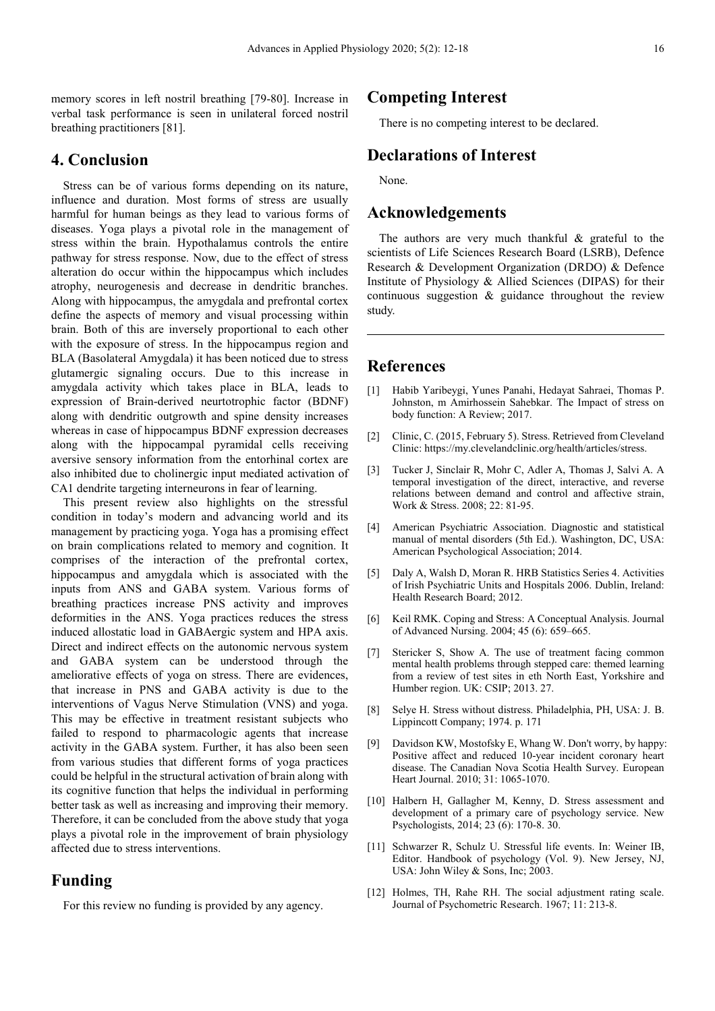memory scores in left nostril breathing [79-80]. Increase in verbal task performance is seen in unilateral forced nostril breathing practitioners [81].

## **4. Conclusion**

Stress can be of various forms depending on its nature, influence and duration. Most forms of stress are usually harmful for human beings as they lead to various forms of diseases. Yoga plays a pivotal role in the management of stress within the brain. Hypothalamus controls the entire pathway for stress response. Now, due to the effect of stress alteration do occur within the hippocampus which includes atrophy, neurogenesis and decrease in dendritic branches. Along with hippocampus, the amygdala and prefrontal cortex define the aspects of memory and visual processing within brain. Both of this are inversely proportional to each other with the exposure of stress. In the hippocampus region and BLA (Basolateral Amygdala) it has been noticed due to stress glutamergic signaling occurs. Due to this increase in amygdala activity which takes place in BLA, leads to expression of Brain-derived neurtotrophic factor (BDNF) along with dendritic outgrowth and spine density increases whereas in case of hippocampus BDNF expression decreases along with the hippocampal pyramidal cells receiving aversive sensory information from the entorhinal cortex are also inhibited due to cholinergic input mediated activation of CA1 dendrite targeting interneurons in fear of learning.

This present review also highlights on the stressful condition in today's modern and advancing world and its management by practicing yoga. Yoga has a promising effect on brain complications related to memory and cognition. It comprises of the interaction of the prefrontal cortex, hippocampus and amygdala which is associated with the inputs from ANS and GABA system. Various forms of breathing practices increase PNS activity and improves deformities in the ANS. Yoga practices reduces the stress induced allostatic load in GABAergic system and HPA axis. Direct and indirect effects on the autonomic nervous system and GABA system can be understood through the ameliorative effects of yoga on stress. There are evidences, that increase in PNS and GABA activity is due to the interventions of Vagus Nerve Stimulation (VNS) and yoga. This may be effective in treatment resistant subjects who failed to respond to pharmacologic agents that increase activity in the GABA system. Further, it has also been seen from various studies that different forms of yoga practices could be helpful in the structural activation of brain along with its cognitive function that helps the individual in performing better task as well as increasing and improving their memory. Therefore, it can be concluded from the above study that yoga plays a pivotal role in the improvement of brain physiology affected due to stress interventions.

## **Funding**

For this review no funding is provided by any agency.

### **Competing Interest**

There is no competing interest to be declared.

## **Declarations of Interest**

None.

## **Acknowledgements**

The authors are very much thankful & grateful to the scientists of Life Sciences Research Board (LSRB), Defence Research & Development Organization (DRDO) & Defence Institute of Physiology & Allied Sciences (DIPAS) for their continuous suggestion & guidance throughout the review study.

## **References**

- [1] Habib Yaribeygi, Yunes Panahi, Hedayat Sahraei, Thomas P. Johnston, m Amirhossein Sahebkar. The Impact of stress on body function: A Review; 2017.
- [2] Clinic, C. (2015, February 5). Stress. Retrieved from Cleveland Clinic: https://my.clevelandclinic.org/health/articles/stress.
- [3] Tucker J, Sinclair R, Mohr C, Adler A, Thomas J, Salvi A. A temporal investigation of the direct, interactive, and reverse relations between demand and control and affective strain, Work & Stress. 2008; 22: 81-95.
- [4] American Psychiatric Association. Diagnostic and statistical manual of mental disorders (5th Ed.). Washington, DC, USA: American Psychological Association; 2014.
- [5] Daly A, Walsh D, Moran R. HRB Statistics Series 4. Activities of Irish Psychiatric Units and Hospitals 2006. Dublin, Ireland: Health Research Board; 2012.
- [6] Keil RMK. Coping and Stress: A Conceptual Analysis. Journal of Advanced Nursing. 2004; 45 (6): 659–665.
- [7] Stericker S, Show A. The use of treatment facing common mental health problems through stepped care: themed learning from a review of test sites in eth North East, Yorkshire and Humber region. UK: CSIP; 2013. 27.
- [8] Selye H. Stress without distress. Philadelphia, PH, USA: J. B. Lippincott Company; 1974. p. 171
- [9] Davidson KW, Mostofsky E, Whang W. Don't worry, by happy: Positive affect and reduced 10-year incident coronary heart disease. The Canadian Nova Scotia Health Survey. European Heart Journal. 2010; 31: 1065-1070.
- [10] Halbern H, Gallagher M, Kenny, D. Stress assessment and development of a primary care of psychology service. New Psychologists, 2014; 23 (6): 170-8. 30.
- [11] Schwarzer R, Schulz U. Stressful life events. In: Weiner IB, Editor. Handbook of psychology (Vol. 9). New Jersey, NJ, USA: John Wiley & Sons, Inc; 2003.
- [12] Holmes, TH, Rahe RH. The social adjustment rating scale. Journal of Psychometric Research. 1967; 11: 213-8.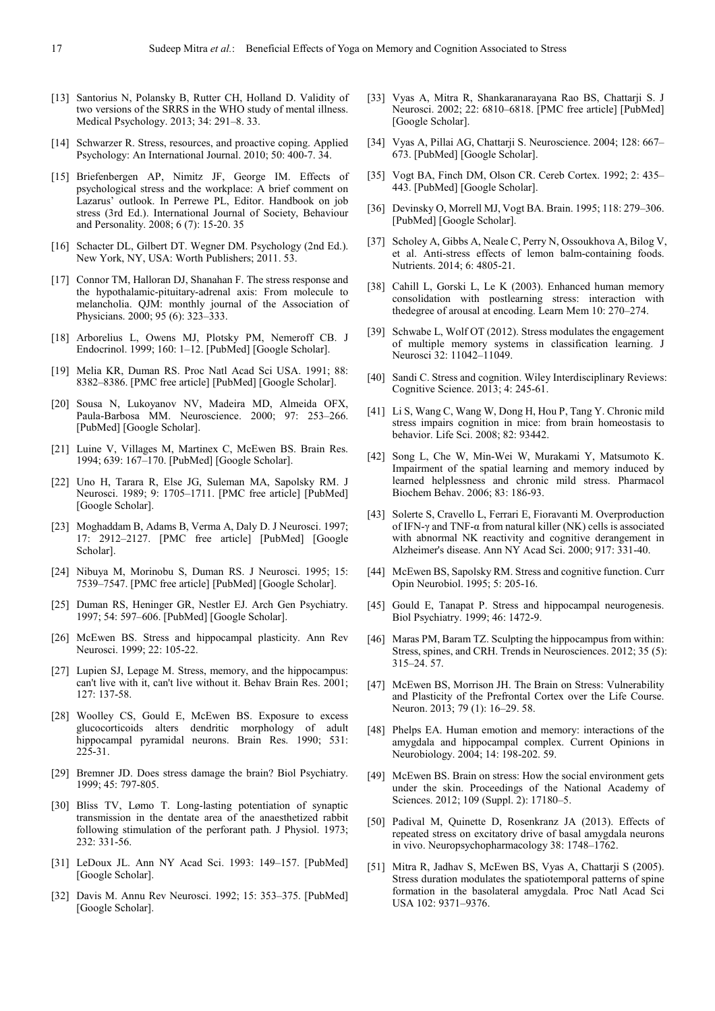- [13] Santorius N, Polansky B, Rutter CH, Holland D. Validity of two versions of the SRRS in the WHO study of mental illness. Medical Psychology. 2013; 34: 291–8. 33.
- [14] Schwarzer R. Stress, resources, and proactive coping. Applied Psychology: An International Journal. 2010; 50: 400-7. 34.
- [15] Briefenbergen AP, Nimitz JF, George IM. Effects of psychological stress and the workplace: A brief comment on Lazarus' outlook. In Perrewe PL, Editor. Handbook on job stress (3rd Ed.). International Journal of Society, Behaviour and Personality. 2008; 6 (7): 15-20. 35
- [16] Schacter DL, Gilbert DT. Wegner DM. Psychology (2nd Ed.). New York, NY, USA: Worth Publishers; 2011. 53.
- [17] Connor TM, Halloran DJ, Shanahan F. The stress response and the hypothalamic-pituitary-adrenal axis: From molecule to melancholia. QJM: monthly journal of the Association of Physicians. 2000; 95 (6): 323–333.
- [18] Arborelius L, Owens MJ, Plotsky PM, Nemeroff CB. J Endocrinol. 1999; 160: 1–12. [PubMed] [Google Scholar].
- [19] Melia KR, Duman RS. Proc Natl Acad Sci USA. 1991; 88: 8382–8386. [PMC free article] [PubMed] [Google Scholar].
- [20] Sousa N, Lukoyanov NV, Madeira MD, Almeida OFX, Paula-Barbosa MM. Neuroscience. 2000; 97: 253–266. [PubMed] [Google Scholar].
- [21] Luine V, Villages M, Martinex C, McEwen BS, Brain Res. 1994; 639: 167–170. [PubMed] [Google Scholar].
- [22] Uno H, Tarara R, Else JG, Suleman MA, Sapolsky RM. J Neurosci. 1989; 9: 1705–1711. [PMC free article] [PubMed] [Google Scholar].
- [23] Moghaddam B, Adams B, Verma A, Daly D. J Neurosci. 1997; 17: 2912–2127. [PMC free article] [PubMed] [Google Scholar].
- [24] Nibuya M, Morinobu S, Duman RS. J Neurosci. 1995; 15: 7539–7547. [PMC free article] [PubMed] [Google Scholar].
- [25] Duman RS, Heninger GR, Nestler EJ. Arch Gen Psychiatry. 1997; 54: 597–606. [PubMed] [Google Scholar].
- [26] McEwen BS. Stress and hippocampal plasticity. Ann Rev Neurosci. 1999; 22: 105-22.
- [27] Lupien SJ, Lepage M. Stress, memory, and the hippocampus: can't live with it, can't live without it. Behav Brain Res. 2001; 127: 137-58.
- [28] Woolley CS, Gould E, McEwen BS. Exposure to excess glucocorticoids alters dendritic morphology of adult hippocampal pyramidal neurons. Brain Res. 1990; 531:  $225 - 31$ .
- [29] Bremner JD. Does stress damage the brain? Biol Psychiatry. 1999; 45: 797-805.
- [30] Bliss TV, Lømo T. Long-lasting potentiation of synaptic transmission in the dentate area of the anaesthetized rabbit following stimulation of the perforant path. J Physiol. 1973; 232: 331-56.
- [31] LeDoux JL. Ann NY Acad Sci. 1993: 149–157. [PubMed] [Google Scholar].
- [32] Davis M. Annu Rev Neurosci. 1992; 15: 353–375. [PubMed] [Google Scholar].
- [33] Vyas A, Mitra R, Shankaranarayana Rao BS, Chattarji S. J Neurosci. 2002; 22: 6810–6818. [PMC free article] [PubMed] [Google Scholar].
- [34] Vyas A, Pillai AG, Chattarji S. Neuroscience. 2004; 128: 667– 673. [PubMed] [Google Scholar].
- [35] Vogt BA, Finch DM, Olson CR. Cereb Cortex. 1992; 2: 435– 443. [PubMed] [Google Scholar].
- [36] Devinsky O, Morrell MJ, Vogt BA. Brain. 1995; 118: 279–306. [PubMed] [Google Scholar].
- [37] Scholey A, Gibbs A, Neale C, Perry N, Ossoukhova A, Bilog V, et al. Anti-stress effects of lemon balm-containing foods. Nutrients. 2014; 6: 4805-21.
- [38] Cahill L, Gorski L, Le K (2003). Enhanced human memory consolidation with postlearning stress: interaction with thedegree of arousal at encoding. Learn Mem 10: 270–274.
- [39] Schwabe L, Wolf OT (2012). Stress modulates the engagement of multiple memory systems in classification learning. J Neurosci 32: 11042–11049.
- [40] Sandi C. Stress and cognition. Wiley Interdisciplinary Reviews: Cognitive Science. 2013; 4: 245-61.
- [41] Li S, Wang C, Wang W, Dong H, Hou P, Tang Y. Chronic mild stress impairs cognition in mice: from brain homeostasis to behavior. Life Sci. 2008; 82: 93442.
- [42] Song L, Che W, Min-Wei W, Murakami Y, Matsumoto K. Impairment of the spatial learning and memory induced by learned helplessness and chronic mild stress. Pharmacol Biochem Behav. 2006; 83: 186-93.
- [43] Solerte S, Cravello L, Ferrari E, Fioravanti M. Overproduction of IFN-γ and TNF-α from natural killer (NK) cells is associated with abnormal NK reactivity and cognitive derangement in Alzheimer's disease. Ann NY Acad Sci. 2000; 917: 331-40.
- [44] McEwen BS, Sapolsky RM. Stress and cognitive function. Curr Opin Neurobiol. 1995; 5: 205-16.
- [45] Gould E, Tanapat P. Stress and hippocampal neurogenesis. Biol Psychiatry. 1999; 46: 1472-9.
- [46] Maras PM, Baram TZ. Sculpting the hippocampus from within: Stress, spines, and CRH. Trends in Neurosciences. 2012; 35 (5): 315–24. 57.
- [47] McEwen BS, Morrison JH. The Brain on Stress: Vulnerability and Plasticity of the Prefrontal Cortex over the Life Course. Neuron. 2013; 79 (1): 16–29. 58.
- [48] Phelps EA. Human emotion and memory: interactions of the amygdala and hippocampal complex. Current Opinions in Neurobiology. 2004; 14: 198-202. 59.
- [49] McEwen BS. Brain on stress: How the social environment gets under the skin. Proceedings of the National Academy of Sciences. 2012; 109 (Suppl. 2): 17180–5.
- [50] Padival M, Quinette D, Rosenkranz JA (2013). Effects of repeated stress on excitatory drive of basal amygdala neurons in vivo. Neuropsychopharmacology 38: 1748–1762.
- [51] Mitra R, Jadhav S, McEwen BS, Vyas A, Chattarji S (2005). Stress duration modulates the spatiotemporal patterns of spine formation in the basolateral amygdala. Proc Natl Acad Sci USA 102: 9371–9376.